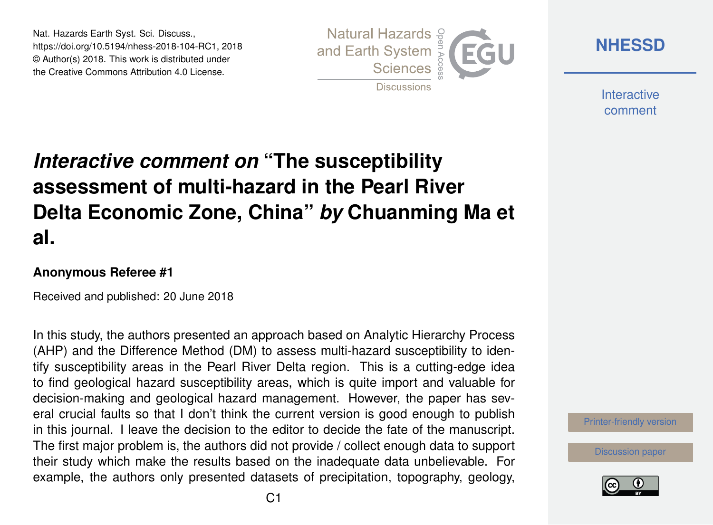Nat. Hazards Earth Syst. Sci. Discuss., https://doi.org/10.5194/nhess-2018-104-RC1, 2018 © Author(s) 2018. This work is distributed under the Creative Commons Attribution 4.0 License.



**[NHESSD](https://www.nat-hazards-earth-syst-sci-discuss.net/)**

**Interactive** comment

# *Interactive comment on* **"The susceptibility assessment of multi-hazard in the Pearl River Delta Economic Zone, China"** *by* **Chuanming Ma et al.**

#### **Anonymous Referee #1**

Received and published: 20 June 2018

In this study, the authors presented an approach based on Analytic Hierarchy Process (AHP) and the Difference Method (DM) to assess multi-hazard susceptibility to identify susceptibility areas in the Pearl River Delta region. This is a cutting-edge idea to find geological hazard susceptibility areas, which is quite import and valuable for decision-making and geological hazard management. However, the paper has several crucial faults so that I don't think the current version is good enough to publish in this journal. I leave the decision to the editor to decide the fate of the manuscript. The first major problem is, the authors did not provide / collect enough data to support their study which make the results based on the inadequate data unbelievable. For example, the authors only presented datasets of precipitation, topography, geology,

[Printer-friendly version](https://www.nat-hazards-earth-syst-sci-discuss.net/nhess-2018-104/nhess-2018-104-RC1-print.pdf)

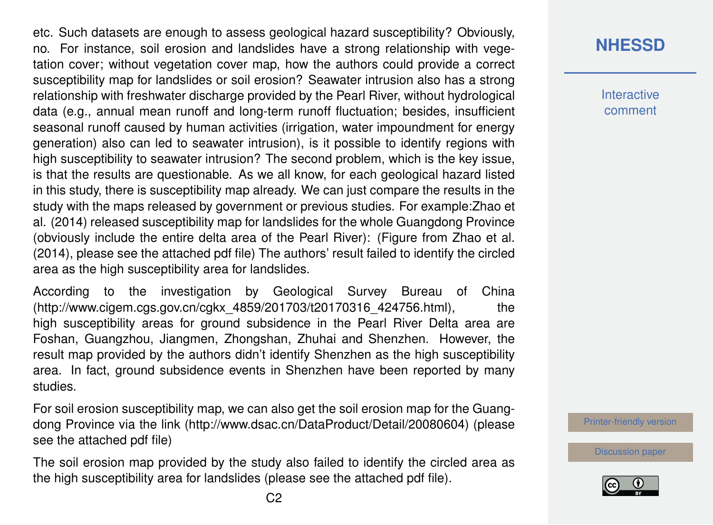etc. Such datasets are enough to assess geological hazard susceptibility? Obviously, no. For instance, soil erosion and landslides have a strong relationship with vegetation cover; without vegetation cover map, how the authors could provide a correct susceptibility map for landslides or soil erosion? Seawater intrusion also has a strong relationship with freshwater discharge provided by the Pearl River, without hydrological data (e.g., annual mean runoff and long-term runoff fluctuation; besides, insufficient seasonal runoff caused by human activities (irrigation, water impoundment for energy generation) also can led to seawater intrusion), is it possible to identify regions with high susceptibility to seawater intrusion? The second problem, which is the key issue, is that the results are questionable. As we all know, for each geological hazard listed in this study, there is susceptibility map already. We can just compare the results in the study with the maps released by government or previous studies. For example:Zhao et al. (2014) released susceptibility map for landslides for the whole Guangdong Province (obviously include the entire delta area of the Pearl River): (Figure from Zhao et al. (2014), please see the attached pdf file) The authors' result failed to identify the circled area as the high susceptibility area for landslides.

According to the investigation by Geological Survey Bureau of China (http://www.cigem.cgs.gov.cn/cgkx\_4859/201703/t20170316\_424756.html), the high susceptibility areas for ground subsidence in the Pearl River Delta area are Foshan, Guangzhou, Jiangmen, Zhongshan, Zhuhai and Shenzhen. However, the result map provided by the authors didn't identify Shenzhen as the high susceptibility area. In fact, ground subsidence events in Shenzhen have been reported by many studies.

For soil erosion susceptibility map, we can also get the soil erosion map for the Guangdong Province via the link (http://www.dsac.cn/DataProduct/Detail/20080604) (please see the attached pdf file)

The soil erosion map provided by the study also failed to identify the circled area as the high susceptibility area for landslides (please see the attached pdf file).

### **[NHESSD](https://www.nat-hazards-earth-syst-sci-discuss.net/)**

**Interactive** comment

[Printer-friendly version](https://www.nat-hazards-earth-syst-sci-discuss.net/nhess-2018-104/nhess-2018-104-RC1-print.pdf)

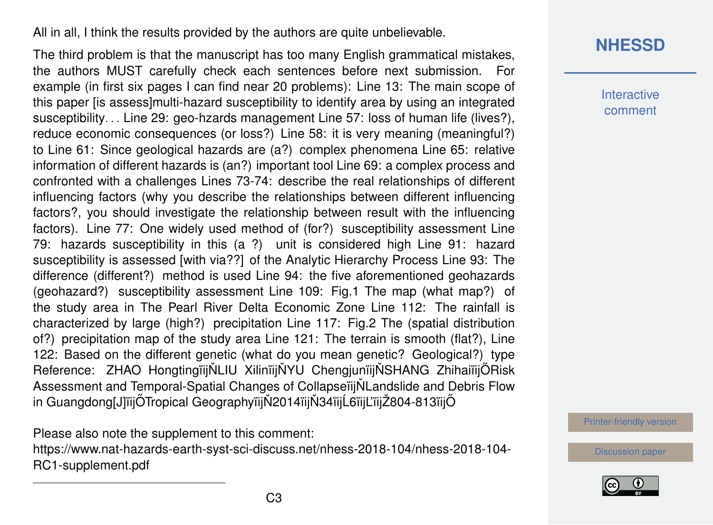All in all, I think the results provided by the authors are quite unbelievable.

The third problem is that the manuscript has too many English grammatical mistakes, the authors MUST carefully check each sentences before next submission. For example (in first six pages I can find near 20 problems): Line 13: The main scope of this paper [is assess]multi-hazard susceptibility to identify area by using an integrated susceptibility. . . Line 29: geo-hzards management Line 57: loss of human life (lives?), reduce economic consequences (or loss?) Line 58: it is very meaning (meaningful?) to Line 61: Since geological hazards are (a?) complex phenomena Line 65: relative information of different hazards is (an?) important tool Line 69: a complex process and confronted with a challenges Lines 73-74: describe the real relationships of different influencing factors (why you describe the relationships between different influencing factors?, you should investigate the relationship between result with the influencing factors). Line 77: One widely used method of (for?) susceptibility assessment Line 79: hazards susceptibility in this (a ?) unit is considered high Line 91: hazard susceptibility is assessed [with via??] of the Analytic Hierarchy Process Line 93: The difference (different?) method is used Line 94: the five aforementioned geohazards (geohazard?) susceptibility assessment Line 109: Fig.1 The map (what map?) of the study area in The Pearl River Delta Economic Zone Line 112: The rainfall is characterized by large (high?) precipitation Line 117: Fig.2 The (spatial distribution of?) precipitation map of the study area Line 121: The terrain is smooth (flat?), Line 122: Based on the different genetic (what do you mean genetic? Geological?) type Reference: ZHAO HongtingïijŇLIU XilinïijŇYU ChengjunïijŇSHANG ZhihaiïijŐRisk Assessment and Temporal-Spatial Changes of CollapseiliNLandslide and Debris Flow in Guangdong[J]ïijŐTropical GeographyïijŇ2014ïijŇ34ïijĹ6ïijĽïijŽ804-813ïijŐ

Please also note the supplement to this comment: [https://www.nat-hazards-earth-syst-sci-discuss.net/nhess-2018-104/nhess-2018-104-](https://www.nat-hazards-earth-syst-sci-discuss.net/nhess-2018-104/nhess-2018-104-RC1-supplement.pdf) [RC1-supplement.pdf](https://www.nat-hazards-earth-syst-sci-discuss.net/nhess-2018-104/nhess-2018-104-RC1-supplement.pdf)

## **[NHESSD](https://www.nat-hazards-earth-syst-sci-discuss.net/)**

**Interactive** comment

[Printer-friendly version](https://www.nat-hazards-earth-syst-sci-discuss.net/nhess-2018-104/nhess-2018-104-RC1-print.pdf)